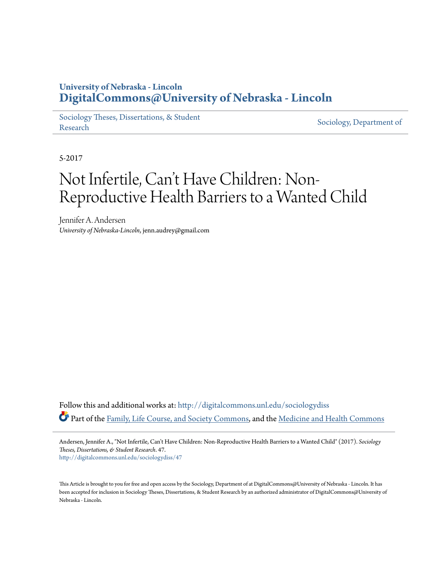# **University of Nebraska - Lincoln [DigitalCommons@University of Nebraska - Lincoln](http://digitalcommons.unl.edu?utm_source=digitalcommons.unl.edu%2Fsociologydiss%2F47&utm_medium=PDF&utm_campaign=PDFCoverPages)**

[Sociology Theses, Dissertations, & Student](http://digitalcommons.unl.edu/sociologydiss?utm_source=digitalcommons.unl.edu%2Fsociologydiss%2F47&utm_medium=PDF&utm_campaign=PDFCoverPages) [Research](http://digitalcommons.unl.edu/sociologydiss?utm_source=digitalcommons.unl.edu%2Fsociologydiss%2F47&utm_medium=PDF&utm_campaign=PDFCoverPages) Sociology, Dissertations, & Student [Sociology, Department of](http://digitalcommons.unl.edu/sociology?utm_source=digitalcommons.unl.edu%2Fsociologydiss%2F47&utm_medium=PDF&utm_campaign=PDFCoverPages)

5-2017

# Not Infertile, Can 't Have Children: Non-Reproductive Health Barriers to a Wanted Child

Jennifer A. Andersen *University of Nebraska-Lincoln*, jenn.audrey@gmail.com

Follow this and additional works at: [http://digitalcommons.unl.edu/sociologydiss](http://digitalcommons.unl.edu/sociologydiss?utm_source=digitalcommons.unl.edu%2Fsociologydiss%2F47&utm_medium=PDF&utm_campaign=PDFCoverPages) Part of the [Family, Life Course, and Society Commons](http://network.bepress.com/hgg/discipline/419?utm_source=digitalcommons.unl.edu%2Fsociologydiss%2F47&utm_medium=PDF&utm_campaign=PDFCoverPages), and the [Medicine and Health Commons](http://network.bepress.com/hgg/discipline/422?utm_source=digitalcommons.unl.edu%2Fsociologydiss%2F47&utm_medium=PDF&utm_campaign=PDFCoverPages)

Andersen, Jennifer A., "Not Infertile, Can't Have Children: Non-Reproductive Health Barriers to a Wanted Child" (2017). *Sociology Theses, Dissertations, & Student Research*. 47. [http://digitalcommons.unl.edu/sociologydiss/47](http://digitalcommons.unl.edu/sociologydiss/47?utm_source=digitalcommons.unl.edu%2Fsociologydiss%2F47&utm_medium=PDF&utm_campaign=PDFCoverPages)

This Article is brought to you for free and open access by the Sociology, Department of at DigitalCommons@University of Nebraska - Lincoln. It has been accepted for inclusion in Sociology Theses, Dissertations, & Student Research by an authorized administrator of DigitalCommons@University of Nebraska - Lincoln.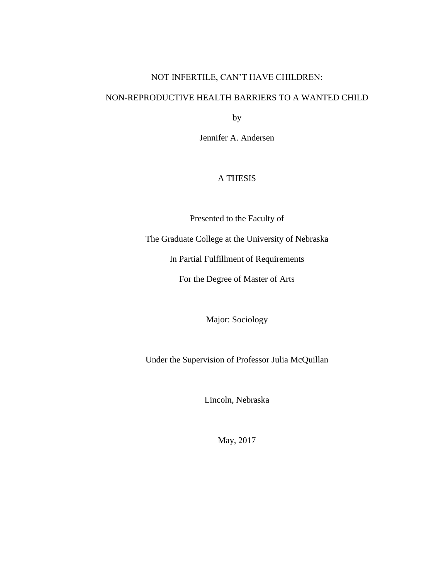# NOT INFERTILE, CAN'T HAVE CHILDREN:

# NON-REPRODUCTIVE HEALTH BARRIERS TO A WANTED CHILD

by

Jennifer A. Andersen

# A THESIS

Presented to the Faculty of

The Graduate College at the University of Nebraska

In Partial Fulfillment of Requirements

For the Degree of Master of Arts

Major: Sociology

Under the Supervision of Professor Julia McQuillan

Lincoln, Nebraska

May, 2017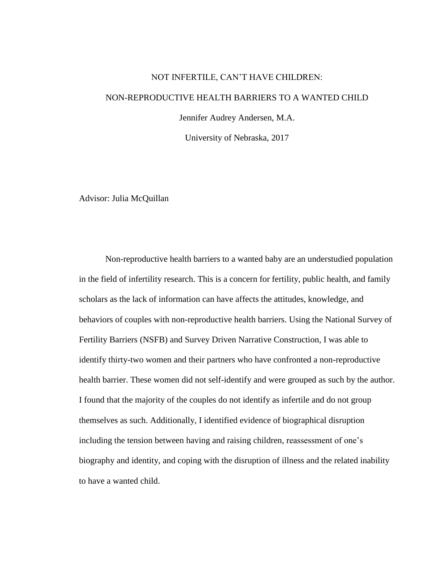# NOT INFERTILE, CAN'T HAVE CHILDREN:

# NON-REPRODUCTIVE HEALTH BARRIERS TO A WANTED CHILD

Jennifer Audrey Andersen, M.A.

University of Nebraska, 2017

Advisor: Julia McQuillan

Non-reproductive health barriers to a wanted baby are an understudied population in the field of infertility research. This is a concern for fertility, public health, and family scholars as the lack of information can have affects the attitudes, knowledge, and behaviors of couples with non-reproductive health barriers. Using the National Survey of Fertility Barriers (NSFB) and Survey Driven Narrative Construction, I was able to identify thirty-two women and their partners who have confronted a non-reproductive health barrier. These women did not self-identify and were grouped as such by the author. I found that the majority of the couples do not identify as infertile and do not group themselves as such. Additionally, I identified evidence of biographical disruption including the tension between having and raising children, reassessment of one's biography and identity, and coping with the disruption of illness and the related inability to have a wanted child.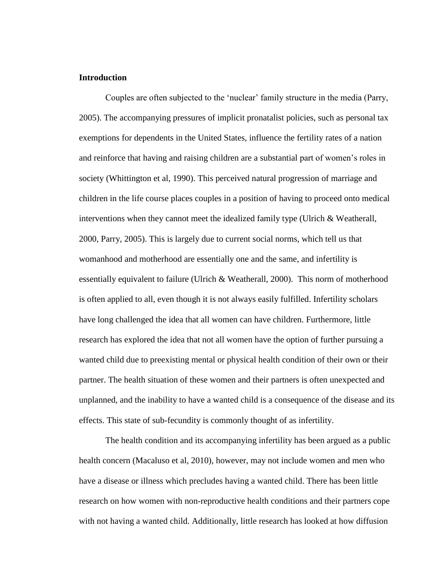## **Introduction**

Couples are often subjected to the 'nuclear' family structure in the media (Parry, 2005). The accompanying pressures of implicit pronatalist policies, such as personal tax exemptions for dependents in the United States, influence the fertility rates of a nation and reinforce that having and raising children are a substantial part of women's roles in society (Whittington et al, 1990). This perceived natural progression of marriage and children in the life course places couples in a position of having to proceed onto medical interventions when they cannot meet the idealized family type (Ulrich & Weatherall, 2000, Parry, 2005). This is largely due to current social norms, which tell us that womanhood and motherhood are essentially one and the same, and infertility is essentially equivalent to failure (Ulrich & Weatherall, 2000). This norm of motherhood is often applied to all, even though it is not always easily fulfilled. Infertility scholars have long challenged the idea that all women can have children. Furthermore, little research has explored the idea that not all women have the option of further pursuing a wanted child due to preexisting mental or physical health condition of their own or their partner. The health situation of these women and their partners is often unexpected and unplanned, and the inability to have a wanted child is a consequence of the disease and its effects. This state of sub-fecundity is commonly thought of as infertility.

The health condition and its accompanying infertility has been argued as a public health concern (Macaluso et al, 2010), however, may not include women and men who have a disease or illness which precludes having a wanted child. There has been little research on how women with non-reproductive health conditions and their partners cope with not having a wanted child. Additionally, little research has looked at how diffusion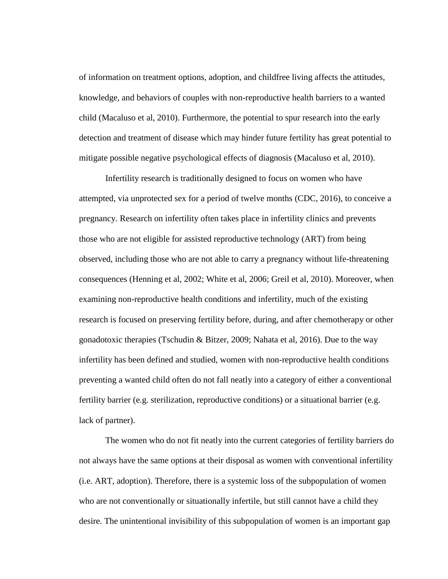of information on treatment options, adoption, and childfree living affects the attitudes, knowledge, and behaviors of couples with non-reproductive health barriers to a wanted child (Macaluso et al, 2010). Furthermore, the potential to spur research into the early detection and treatment of disease which may hinder future fertility has great potential to mitigate possible negative psychological effects of diagnosis (Macaluso et al, 2010).

Infertility research is traditionally designed to focus on women who have attempted, via unprotected sex for a period of twelve months (CDC, 2016), to conceive a pregnancy. Research on infertility often takes place in infertility clinics and prevents those who are not eligible for assisted reproductive technology (ART) from being observed, including those who are not able to carry a pregnancy without life-threatening consequences (Henning et al, 2002; White et al, 2006; Greil et al, 2010). Moreover, when examining non-reproductive health conditions and infertility, much of the existing research is focused on preserving fertility before, during, and after chemotherapy or other gonadotoxic therapies (Tschudin & Bitzer, 2009; Nahata et al, 2016). Due to the way infertility has been defined and studied, women with non-reproductive health conditions preventing a wanted child often do not fall neatly into a category of either a conventional fertility barrier (e.g. sterilization, reproductive conditions) or a situational barrier (e.g. lack of partner).

The women who do not fit neatly into the current categories of fertility barriers do not always have the same options at their disposal as women with conventional infertility (i.e. ART, adoption). Therefore, there is a systemic loss of the subpopulation of women who are not conventionally or situationally infertile, but still cannot have a child they desire. The unintentional invisibility of this subpopulation of women is an important gap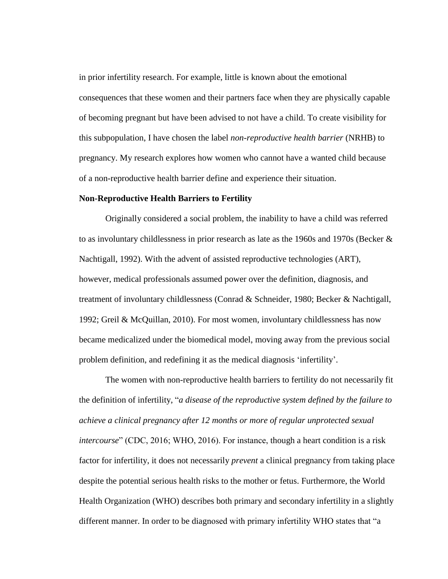in prior infertility research. For example, little is known about the emotional consequences that these women and their partners face when they are physically capable of becoming pregnant but have been advised to not have a child. To create visibility for this subpopulation, I have chosen the label *non-reproductive health barrier* (NRHB) to pregnancy. My research explores how women who cannot have a wanted child because of a non-reproductive health barrier define and experience their situation.

#### **Non-Reproductive Health Barriers to Fertility**

Originally considered a social problem, the inability to have a child was referred to as involuntary childlessness in prior research as late as the 1960s and 1970s (Becker & Nachtigall, 1992). With the advent of assisted reproductive technologies (ART), however, medical professionals assumed power over the definition, diagnosis, and treatment of involuntary childlessness (Conrad & Schneider, 1980; Becker & Nachtigall, 1992; Greil & McQuillan, 2010). For most women, involuntary childlessness has now became medicalized under the biomedical model, moving away from the previous social problem definition, and redefining it as the medical diagnosis 'infertility'.

The women with non-reproductive health barriers to fertility do not necessarily fit the definition of infertility, "*a disease of the reproductive system defined by the failure to achieve a clinical pregnancy after 12 months or more of regular unprotected sexual intercourse*" (CDC, 2016; WHO, 2016). For instance, though a heart condition is a risk factor for infertility, it does not necessarily *prevent* a clinical pregnancy from taking place despite the potential serious health risks to the mother or fetus. Furthermore, the World Health Organization (WHO) describes both primary and secondary infertility in a slightly different manner. In order to be diagnosed with primary infertility WHO states that "a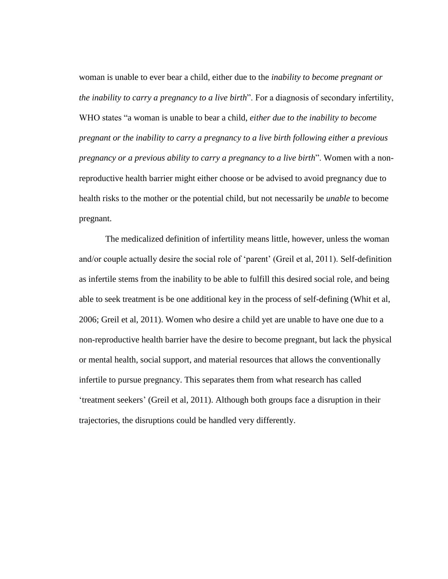woman is unable to ever bear a child, either due to the *inability to become pregnant or the inability to carry a pregnancy to a live birth*". For a diagnosis of secondary infertility, WHO states "a woman is unable to bear a child, *either due to the inability to become pregnant or the inability to carry a pregnancy to a live birth following either a previous pregnancy or a previous ability to carry a pregnancy to a live birth*". Women with a nonreproductive health barrier might either choose or be advised to avoid pregnancy due to health risks to the mother or the potential child, but not necessarily be *unable* to become pregnant.

The medicalized definition of infertility means little, however, unless the woman and/or couple actually desire the social role of 'parent' (Greil et al, 2011). Self-definition as infertile stems from the inability to be able to fulfill this desired social role, and being able to seek treatment is be one additional key in the process of self-defining (Whit et al, 2006; Greil et al, 2011). Women who desire a child yet are unable to have one due to a non-reproductive health barrier have the desire to become pregnant, but lack the physical or mental health, social support, and material resources that allows the conventionally infertile to pursue pregnancy. This separates them from what research has called 'treatment seekers' (Greil et al, 2011). Although both groups face a disruption in their trajectories, the disruptions could be handled very differently.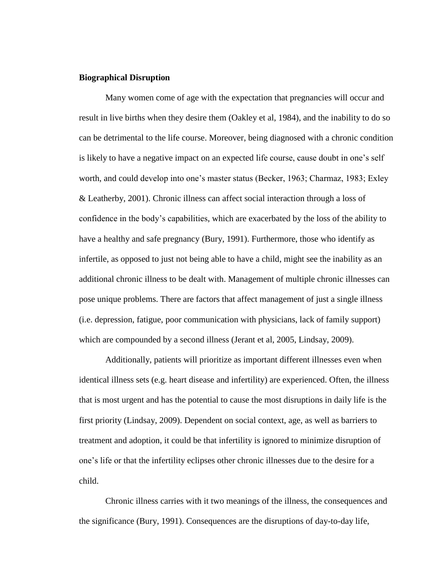## **Biographical Disruption**

Many women come of age with the expectation that pregnancies will occur and result in live births when they desire them (Oakley et al, 1984), and the inability to do so can be detrimental to the life course. Moreover, being diagnosed with a chronic condition is likely to have a negative impact on an expected life course, cause doubt in one's self worth, and could develop into one's master status (Becker, 1963; Charmaz, 1983; Exley & Leatherby, 2001). Chronic illness can affect social interaction through a loss of confidence in the body's capabilities, which are exacerbated by the loss of the ability to have a healthy and safe pregnancy (Bury, 1991). Furthermore, those who identify as infertile, as opposed to just not being able to have a child, might see the inability as an additional chronic illness to be dealt with. Management of multiple chronic illnesses can pose unique problems. There are factors that affect management of just a single illness (i.e. depression, fatigue, poor communication with physicians, lack of family support) which are compounded by a second illness (Jerant et al, 2005, Lindsay, 2009).

Additionally, patients will prioritize as important different illnesses even when identical illness sets (e.g. heart disease and infertility) are experienced. Often, the illness that is most urgent and has the potential to cause the most disruptions in daily life is the first priority (Lindsay, 2009). Dependent on social context, age, as well as barriers to treatment and adoption, it could be that infertility is ignored to minimize disruption of one's life or that the infertility eclipses other chronic illnesses due to the desire for a child.

Chronic illness carries with it two meanings of the illness, the consequences and the significance (Bury, 1991). Consequences are the disruptions of day-to-day life,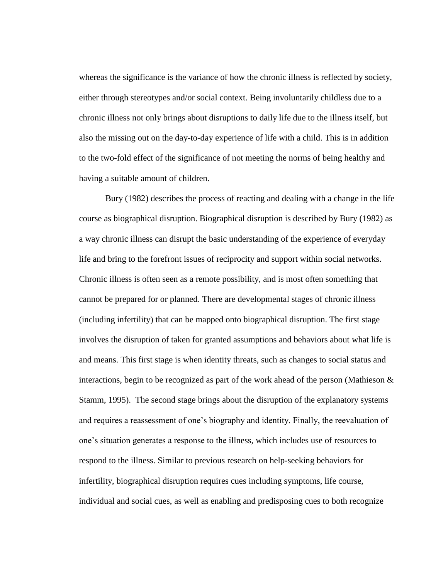whereas the significance is the variance of how the chronic illness is reflected by society, either through stereotypes and/or social context. Being involuntarily childless due to a chronic illness not only brings about disruptions to daily life due to the illness itself, but also the missing out on the day-to-day experience of life with a child. This is in addition to the two-fold effect of the significance of not meeting the norms of being healthy and having a suitable amount of children.

Bury (1982) describes the process of reacting and dealing with a change in the life course as biographical disruption. Biographical disruption is described by Bury (1982) as a way chronic illness can disrupt the basic understanding of the experience of everyday life and bring to the forefront issues of reciprocity and support within social networks. Chronic illness is often seen as a remote possibility, and is most often something that cannot be prepared for or planned. There are developmental stages of chronic illness (including infertility) that can be mapped onto biographical disruption. The first stage involves the disruption of taken for granted assumptions and behaviors about what life is and means. This first stage is when identity threats, such as changes to social status and interactions, begin to be recognized as part of the work ahead of the person (Mathieson & Stamm, 1995). The second stage brings about the disruption of the explanatory systems and requires a reassessment of one's biography and identity. Finally, the reevaluation of one's situation generates a response to the illness, which includes use of resources to respond to the illness. Similar to previous research on help-seeking behaviors for infertility, biographical disruption requires cues including symptoms, life course, individual and social cues, as well as enabling and predisposing cues to both recognize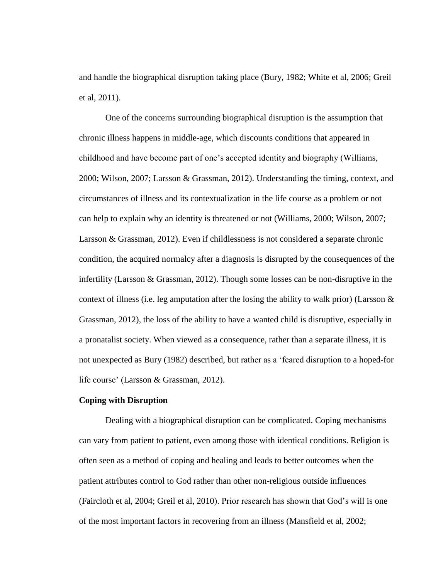and handle the biographical disruption taking place (Bury, 1982; White et al, 2006; Greil et al, 2011).

One of the concerns surrounding biographical disruption is the assumption that chronic illness happens in middle-age, which discounts conditions that appeared in childhood and have become part of one's accepted identity and biography (Williams, 2000; Wilson, 2007; Larsson & Grassman, 2012). Understanding the timing, context, and circumstances of illness and its contextualization in the life course as a problem or not can help to explain why an identity is threatened or not (Williams, 2000; Wilson, 2007; Larsson & Grassman, 2012). Even if childlessness is not considered a separate chronic condition, the acquired normalcy after a diagnosis is disrupted by the consequences of the infertility (Larsson & Grassman, 2012). Though some losses can be non-disruptive in the context of illness (i.e. leg amputation after the losing the ability to walk prior) (Larsson  $\&$ Grassman, 2012), the loss of the ability to have a wanted child is disruptive, especially in a pronatalist society. When viewed as a consequence, rather than a separate illness, it is not unexpected as Bury (1982) described, but rather as a 'feared disruption to a hoped-for life course' (Larsson & Grassman, 2012).

## **Coping with Disruption**

Dealing with a biographical disruption can be complicated. Coping mechanisms can vary from patient to patient, even among those with identical conditions. Religion is often seen as a method of coping and healing and leads to better outcomes when the patient attributes control to God rather than other non-religious outside influences (Faircloth et al, 2004; Greil et al, 2010). Prior research has shown that God's will is one of the most important factors in recovering from an illness (Mansfield et al, 2002;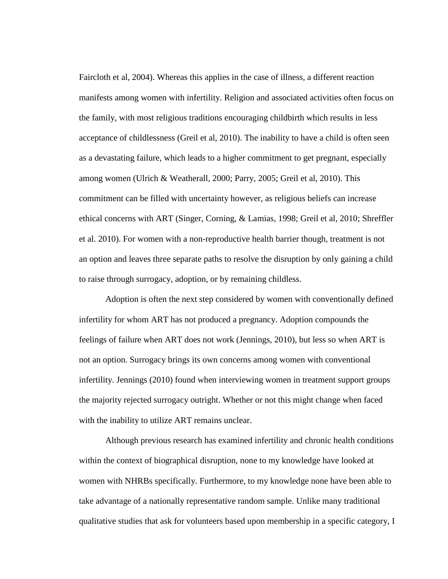Faircloth et al, 2004). Whereas this applies in the case of illness, a different reaction manifests among women with infertility. Religion and associated activities often focus on the family, with most religious traditions encouraging childbirth which results in less acceptance of childlessness (Greil et al, 2010). The inability to have a child is often seen as a devastating failure, which leads to a higher commitment to get pregnant, especially among women (Ulrich & Weatherall, 2000; Parry, 2005; Greil et al, 2010). This commitment can be filled with uncertainty however, as religious beliefs can increase ethical concerns with ART (Singer, Corning, & Lamias, 1998; Greil et al, 2010; Shreffler et al. 2010). For women with a non-reproductive health barrier though, treatment is not an option and leaves three separate paths to resolve the disruption by only gaining a child to raise through surrogacy, adoption, or by remaining childless.

Adoption is often the next step considered by women with conventionally defined infertility for whom ART has not produced a pregnancy. Adoption compounds the feelings of failure when ART does not work (Jennings, 2010), but less so when ART is not an option. Surrogacy brings its own concerns among women with conventional infertility. Jennings (2010) found when interviewing women in treatment support groups the majority rejected surrogacy outright. Whether or not this might change when faced with the inability to utilize ART remains unclear.

Although previous research has examined infertility and chronic health conditions within the context of biographical disruption, none to my knowledge have looked at women with NHRBs specifically. Furthermore, to my knowledge none have been able to take advantage of a nationally representative random sample. Unlike many traditional qualitative studies that ask for volunteers based upon membership in a specific category, I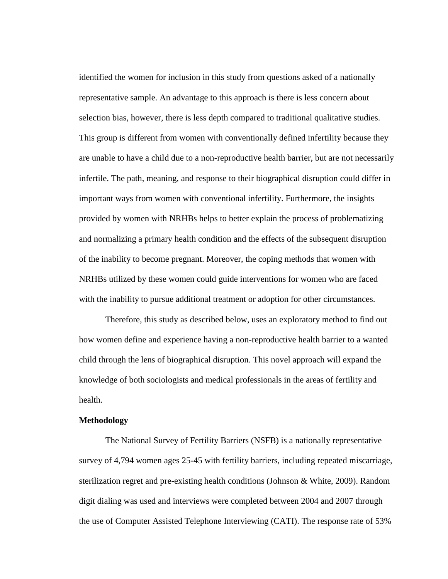identified the women for inclusion in this study from questions asked of a nationally representative sample. An advantage to this approach is there is less concern about selection bias, however, there is less depth compared to traditional qualitative studies. This group is different from women with conventionally defined infertility because they are unable to have a child due to a non-reproductive health barrier, but are not necessarily infertile. The path, meaning, and response to their biographical disruption could differ in important ways from women with conventional infertility. Furthermore, the insights provided by women with NRHBs helps to better explain the process of problematizing and normalizing a primary health condition and the effects of the subsequent disruption of the inability to become pregnant. Moreover, the coping methods that women with NRHBs utilized by these women could guide interventions for women who are faced with the inability to pursue additional treatment or adoption for other circumstances.

Therefore, this study as described below, uses an exploratory method to find out how women define and experience having a non-reproductive health barrier to a wanted child through the lens of biographical disruption. This novel approach will expand the knowledge of both sociologists and medical professionals in the areas of fertility and health.

#### **Methodology**

The National Survey of Fertility Barriers (NSFB) is a nationally representative survey of 4,794 women ages 25-45 with fertility barriers, including repeated miscarriage, sterilization regret and pre-existing health conditions (Johnson & White, 2009). Random digit dialing was used and interviews were completed between 2004 and 2007 through the use of Computer Assisted Telephone Interviewing (CATI). The response rate of 53%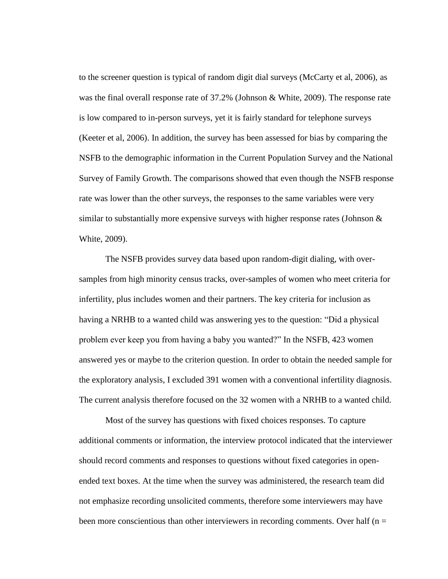to the screener question is typical of random digit dial surveys (McCarty et al, 2006), as was the final overall response rate of 37.2% (Johnson & White, 2009). The response rate is low compared to in-person surveys, yet it is fairly standard for telephone surveys (Keeter et al, 2006). In addition, the survey has been assessed for bias by comparing the NSFB to the demographic information in the Current Population Survey and the National Survey of Family Growth. The comparisons showed that even though the NSFB response rate was lower than the other surveys, the responses to the same variables were very similar to substantially more expensive surveys with higher response rates (Johnson  $\&$ White, 2009).

The NSFB provides survey data based upon random-digit dialing, with oversamples from high minority census tracks, over-samples of women who meet criteria for infertility, plus includes women and their partners. The key criteria for inclusion as having a NRHB to a wanted child was answering yes to the question: "Did a physical problem ever keep you from having a baby you wanted?" In the NSFB, 423 women answered yes or maybe to the criterion question. In order to obtain the needed sample for the exploratory analysis, I excluded 391 women with a conventional infertility diagnosis. The current analysis therefore focused on the 32 women with a NRHB to a wanted child.

Most of the survey has questions with fixed choices responses. To capture additional comments or information, the interview protocol indicated that the interviewer should record comments and responses to questions without fixed categories in openended text boxes. At the time when the survey was administered, the research team did not emphasize recording unsolicited comments, therefore some interviewers may have been more conscientious than other interviewers in recording comments. Over half ( $n =$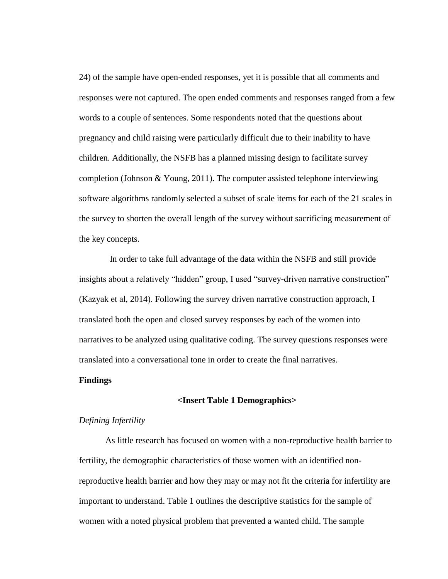24) of the sample have open-ended responses, yet it is possible that all comments and responses were not captured. The open ended comments and responses ranged from a few words to a couple of sentences. Some respondents noted that the questions about pregnancy and child raising were particularly difficult due to their inability to have children. Additionally, the NSFB has a planned missing design to facilitate survey completion (Johnson & Young, 2011). The computer assisted telephone interviewing software algorithms randomly selected a subset of scale items for each of the 21 scales in the survey to shorten the overall length of the survey without sacrificing measurement of the key concepts.

In order to take full advantage of the data within the NSFB and still provide insights about a relatively "hidden" group, I used "survey-driven narrative construction" (Kazyak et al, 2014). Following the survey driven narrative construction approach, I translated both the open and closed survey responses by each of the women into narratives to be analyzed using qualitative coding. The survey questions responses were translated into a conversational tone in order to create the final narratives.

#### **Findings**

#### **<Insert Table 1 Demographics>**

## *Defining Infertility*

As little research has focused on women with a non-reproductive health barrier to fertility, the demographic characteristics of those women with an identified nonreproductive health barrier and how they may or may not fit the criteria for infertility are important to understand. Table 1 outlines the descriptive statistics for the sample of women with a noted physical problem that prevented a wanted child. The sample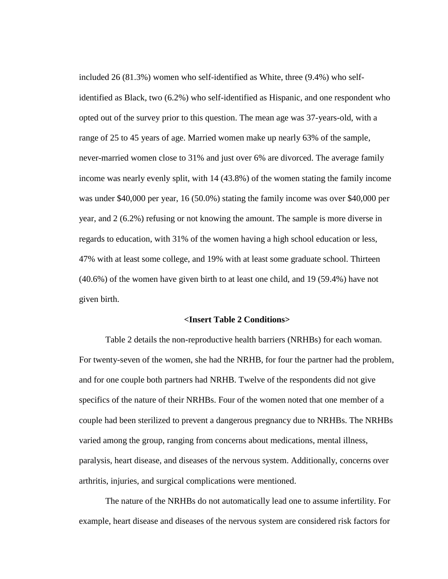included 26 (81.3%) women who self-identified as White, three (9.4%) who selfidentified as Black, two (6.2%) who self-identified as Hispanic, and one respondent who opted out of the survey prior to this question. The mean age was 37-years-old, with a range of 25 to 45 years of age. Married women make up nearly 63% of the sample, never-married women close to 31% and just over 6% are divorced. The average family income was nearly evenly split, with 14 (43.8%) of the women stating the family income was under \$40,000 per year, 16 (50.0%) stating the family income was over \$40,000 per year, and 2 (6.2%) refusing or not knowing the amount. The sample is more diverse in regards to education, with 31% of the women having a high school education or less, 47% with at least some college, and 19% with at least some graduate school. Thirteen (40.6%) of the women have given birth to at least one child, and 19 (59.4%) have not given birth.

#### **<Insert Table 2 Conditions>**

Table 2 details the non-reproductive health barriers (NRHBs) for each woman. For twenty-seven of the women, she had the NRHB, for four the partner had the problem, and for one couple both partners had NRHB. Twelve of the respondents did not give specifics of the nature of their NRHBs. Four of the women noted that one member of a couple had been sterilized to prevent a dangerous pregnancy due to NRHBs. The NRHBs varied among the group, ranging from concerns about medications, mental illness, paralysis, heart disease, and diseases of the nervous system. Additionally, concerns over arthritis, injuries, and surgical complications were mentioned.

The nature of the NRHBs do not automatically lead one to assume infertility. For example, heart disease and diseases of the nervous system are considered risk factors for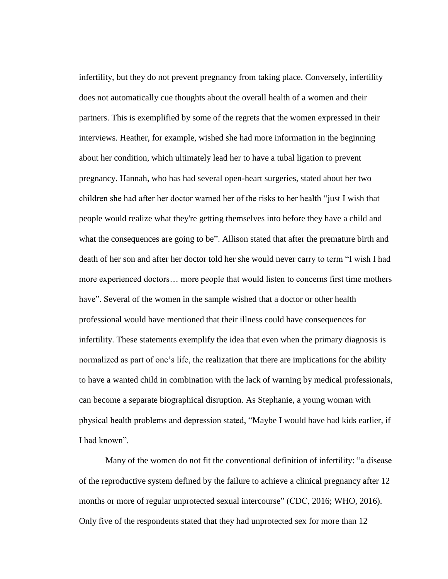infertility, but they do not prevent pregnancy from taking place. Conversely, infertility does not automatically cue thoughts about the overall health of a women and their partners. This is exemplified by some of the regrets that the women expressed in their interviews. Heather, for example, wished she had more information in the beginning about her condition, which ultimately lead her to have a tubal ligation to prevent pregnancy. Hannah, who has had several open-heart surgeries, stated about her two children she had after her doctor warned her of the risks to her health "just I wish that people would realize what they're getting themselves into before they have a child and what the consequences are going to be". Allison stated that after the premature birth and death of her son and after her doctor told her she would never carry to term "I wish I had more experienced doctors… more people that would listen to concerns first time mothers have". Several of the women in the sample wished that a doctor or other health professional would have mentioned that their illness could have consequences for infertility. These statements exemplify the idea that even when the primary diagnosis is normalized as part of one's life, the realization that there are implications for the ability to have a wanted child in combination with the lack of warning by medical professionals, can become a separate biographical disruption. As Stephanie, a young woman with physical health problems and depression stated, "Maybe I would have had kids earlier, if I had known".

Many of the women do not fit the conventional definition of infertility: "a disease of the reproductive system defined by the failure to achieve a clinical pregnancy after 12 months or more of regular unprotected sexual intercourse" (CDC, 2016; WHO, 2016). Only five of the respondents stated that they had unprotected sex for more than 12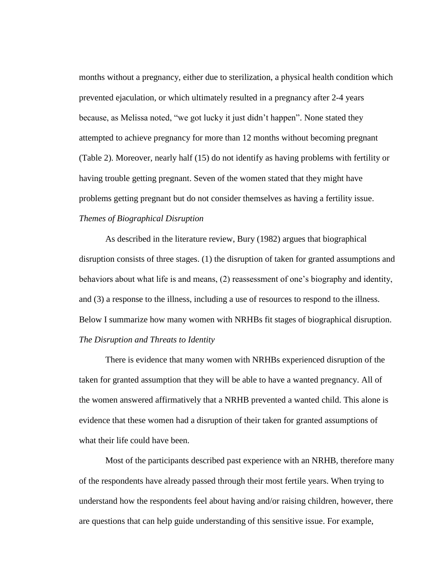months without a pregnancy, either due to sterilization, a physical health condition which prevented ejaculation, or which ultimately resulted in a pregnancy after 2-4 years because, as Melissa noted, "we got lucky it just didn't happen". None stated they attempted to achieve pregnancy for more than 12 months without becoming pregnant (Table 2). Moreover, nearly half (15) do not identify as having problems with fertility or having trouble getting pregnant. Seven of the women stated that they might have problems getting pregnant but do not consider themselves as having a fertility issue. *Themes of Biographical Disruption*

As described in the literature review, Bury (1982) argues that biographical disruption consists of three stages. (1) the disruption of taken for granted assumptions and behaviors about what life is and means, (2) reassessment of one's biography and identity, and (3) a response to the illness, including a use of resources to respond to the illness. Below I summarize how many women with NRHBs fit stages of biographical disruption. *The Disruption and Threats to Identity*

There is evidence that many women with NRHBs experienced disruption of the taken for granted assumption that they will be able to have a wanted pregnancy. All of the women answered affirmatively that a NRHB prevented a wanted child. This alone is evidence that these women had a disruption of their taken for granted assumptions of what their life could have been.

Most of the participants described past experience with an NRHB, therefore many of the respondents have already passed through their most fertile years. When trying to understand how the respondents feel about having and/or raising children, however, there are questions that can help guide understanding of this sensitive issue. For example,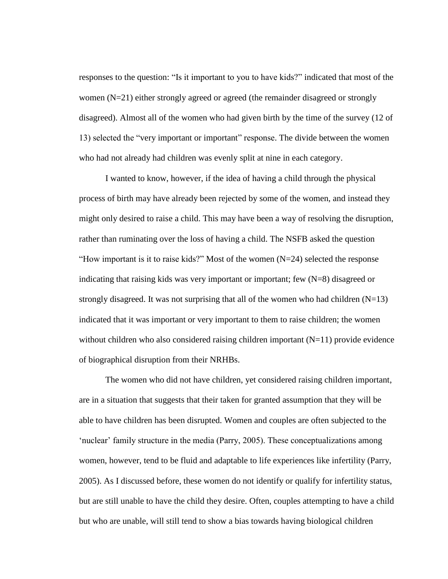responses to the question: "Is it important to you to have kids?" indicated that most of the women (N=21) either strongly agreed or agreed (the remainder disagreed or strongly disagreed). Almost all of the women who had given birth by the time of the survey (12 of 13) selected the "very important or important" response. The divide between the women who had not already had children was evenly split at nine in each category.

I wanted to know, however, if the idea of having a child through the physical process of birth may have already been rejected by some of the women, and instead they might only desired to raise a child. This may have been a way of resolving the disruption, rather than ruminating over the loss of having a child. The NSFB asked the question "How important is it to raise kids?" Most of the women  $(N=24)$  selected the response indicating that raising kids was very important or important; few (N=8) disagreed or strongly disagreed. It was not surprising that all of the women who had children  $(N=13)$ indicated that it was important or very important to them to raise children; the women without children who also considered raising children important  $(N=11)$  provide evidence of biographical disruption from their NRHBs.

The women who did not have children, yet considered raising children important, are in a situation that suggests that their taken for granted assumption that they will be able to have children has been disrupted. Women and couples are often subjected to the 'nuclear' family structure in the media (Parry, 2005). These conceptualizations among women, however, tend to be fluid and adaptable to life experiences like infertility (Parry, 2005). As I discussed before, these women do not identify or qualify for infertility status, but are still unable to have the child they desire. Often, couples attempting to have a child but who are unable, will still tend to show a bias towards having biological children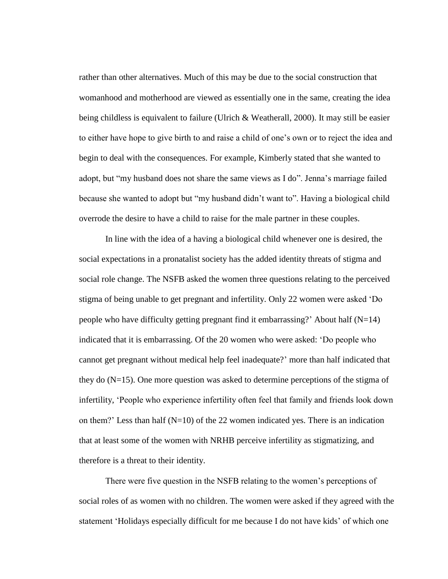rather than other alternatives. Much of this may be due to the social construction that womanhood and motherhood are viewed as essentially one in the same, creating the idea being childless is equivalent to failure (Ulrich  $\&$  Weatherall, 2000). It may still be easier to either have hope to give birth to and raise a child of one's own or to reject the idea and begin to deal with the consequences. For example, Kimberly stated that she wanted to adopt, but "my husband does not share the same views as I do". Jenna's marriage failed because she wanted to adopt but "my husband didn't want to". Having a biological child overrode the desire to have a child to raise for the male partner in these couples.

In line with the idea of a having a biological child whenever one is desired, the social expectations in a pronatalist society has the added identity threats of stigma and social role change. The NSFB asked the women three questions relating to the perceived stigma of being unable to get pregnant and infertility. Only 22 women were asked 'Do people who have difficulty getting pregnant find it embarrassing?' About half (N=14) indicated that it is embarrassing. Of the 20 women who were asked: 'Do people who cannot get pregnant without medical help feel inadequate?' more than half indicated that they do (N=15). One more question was asked to determine perceptions of the stigma of infertility, 'People who experience infertility often feel that family and friends look down on them?' Less than half  $(N=10)$  of the 22 women indicated yes. There is an indication that at least some of the women with NRHB perceive infertility as stigmatizing, and therefore is a threat to their identity.

There were five question in the NSFB relating to the women's perceptions of social roles of as women with no children. The women were asked if they agreed with the statement 'Holidays especially difficult for me because I do not have kids' of which one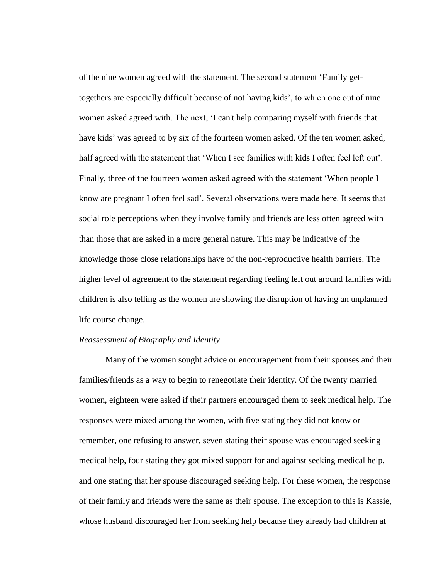of the nine women agreed with the statement. The second statement 'Family gettogethers are especially difficult because of not having kids', to which one out of nine women asked agreed with. The next, 'I can't help comparing myself with friends that have kids' was agreed to by six of the fourteen women asked. Of the ten women asked, half agreed with the statement that 'When I see families with kids I often feel left out'. Finally, three of the fourteen women asked agreed with the statement 'When people I know are pregnant I often feel sad'. Several observations were made here. It seems that social role perceptions when they involve family and friends are less often agreed with than those that are asked in a more general nature. This may be indicative of the knowledge those close relationships have of the non-reproductive health barriers. The higher level of agreement to the statement regarding feeling left out around families with children is also telling as the women are showing the disruption of having an unplanned life course change.

## *Reassessment of Biography and Identity*

Many of the women sought advice or encouragement from their spouses and their families/friends as a way to begin to renegotiate their identity. Of the twenty married women, eighteen were asked if their partners encouraged them to seek medical help. The responses were mixed among the women, with five stating they did not know or remember, one refusing to answer, seven stating their spouse was encouraged seeking medical help, four stating they got mixed support for and against seeking medical help, and one stating that her spouse discouraged seeking help. For these women, the response of their family and friends were the same as their spouse. The exception to this is Kassie, whose husband discouraged her from seeking help because they already had children at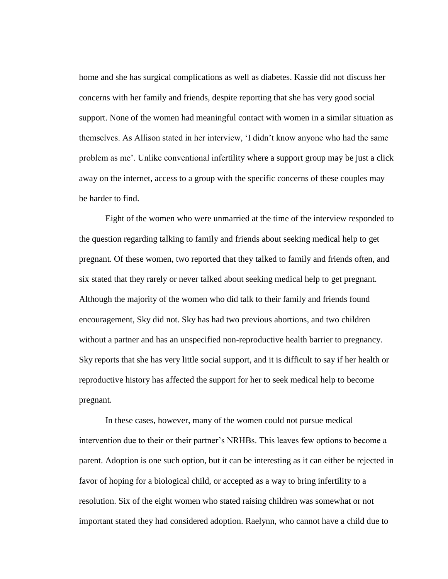home and she has surgical complications as well as diabetes. Kassie did not discuss her concerns with her family and friends, despite reporting that she has very good social support. None of the women had meaningful contact with women in a similar situation as themselves. As Allison stated in her interview, 'I didn't know anyone who had the same problem as me'. Unlike conventional infertility where a support group may be just a click away on the internet, access to a group with the specific concerns of these couples may be harder to find.

Eight of the women who were unmarried at the time of the interview responded to the question regarding talking to family and friends about seeking medical help to get pregnant. Of these women, two reported that they talked to family and friends often, and six stated that they rarely or never talked about seeking medical help to get pregnant. Although the majority of the women who did talk to their family and friends found encouragement, Sky did not. Sky has had two previous abortions, and two children without a partner and has an unspecified non-reproductive health barrier to pregnancy. Sky reports that she has very little social support, and it is difficult to say if her health or reproductive history has affected the support for her to seek medical help to become pregnant.

In these cases, however, many of the women could not pursue medical intervention due to their or their partner's NRHBs. This leaves few options to become a parent. Adoption is one such option, but it can be interesting as it can either be rejected in favor of hoping for a biological child, or accepted as a way to bring infertility to a resolution. Six of the eight women who stated raising children was somewhat or not important stated they had considered adoption. Raelynn, who cannot have a child due to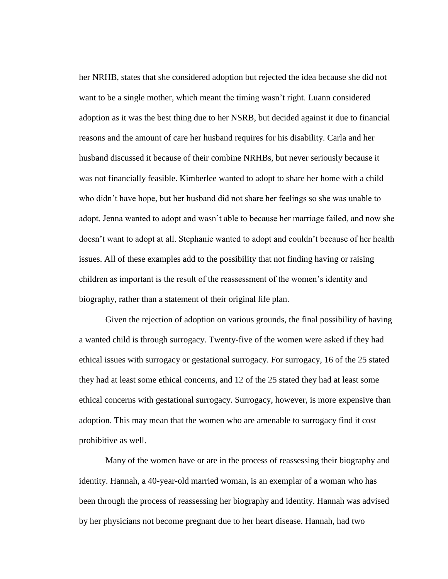her NRHB, states that she considered adoption but rejected the idea because she did not want to be a single mother, which meant the timing wasn't right. Luann considered adoption as it was the best thing due to her NSRB, but decided against it due to financial reasons and the amount of care her husband requires for his disability. Carla and her husband discussed it because of their combine NRHBs, but never seriously because it was not financially feasible. Kimberlee wanted to adopt to share her home with a child who didn't have hope, but her husband did not share her feelings so she was unable to adopt. Jenna wanted to adopt and wasn't able to because her marriage failed, and now she doesn't want to adopt at all. Stephanie wanted to adopt and couldn't because of her health issues. All of these examples add to the possibility that not finding having or raising children as important is the result of the reassessment of the women's identity and biography, rather than a statement of their original life plan.

Given the rejection of adoption on various grounds, the final possibility of having a wanted child is through surrogacy. Twenty-five of the women were asked if they had ethical issues with surrogacy or gestational surrogacy. For surrogacy, 16 of the 25 stated they had at least some ethical concerns, and 12 of the 25 stated they had at least some ethical concerns with gestational surrogacy. Surrogacy, however, is more expensive than adoption. This may mean that the women who are amenable to surrogacy find it cost prohibitive as well.

Many of the women have or are in the process of reassessing their biography and identity. Hannah, a 40-year-old married woman, is an exemplar of a woman who has been through the process of reassessing her biography and identity. Hannah was advised by her physicians not become pregnant due to her heart disease. Hannah, had two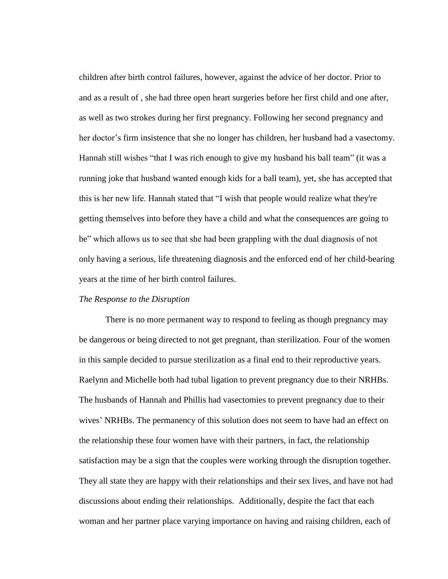children after birth control failures, however, against the advice of her doctor. Prior to and as a result of , she had three open heart surgeries before her first child and one after, as well as two strokes during her first pregnancy. Following her second pregnancy and her doctor's firm insistence that she no longer has children, her husband had a vasectomy. Hannah still wishes "that I was rich enough to give my husband his ball team" (it was a running joke that husband wanted enough kids for a ball team), yet, she has accepted that this is her new life. Hannah stated that "I wish that people would realize what they're getting themselves into before they have a child and what the consequences are going to be" which allows us to see that she had been grappling with the dual diagnosis of not only having a serious, life threatening diagnosis and the enforced end of her child-bearing years at the time of her birth control failures.

#### *The Response to the Disruption*

There is no more permanent way to respond to feeling as though pregnancy may be dangerous or being directed to not get pregnant, than sterilization. Four of the women in this sample decided to pursue sterilization as a final end to their reproductive years. Raelynn and Michelle both had tubal ligation to prevent pregnancy due to their NRHBs. The husbands of Hannah and Phillis had vasectomies to prevent pregnancy due to their wives' NRHBs. The permanency of this solution does not seem to have had an effect on the relationship these four women have with their partners, in fact, the relationship satisfaction may be a sign that the couples were working through the disruption together. They all state they are happy with their relationships and their sex lives, and have not had discussions about ending their relationships. Additionally, despite the fact that each woman and her partner place varying importance on having and raising children, each of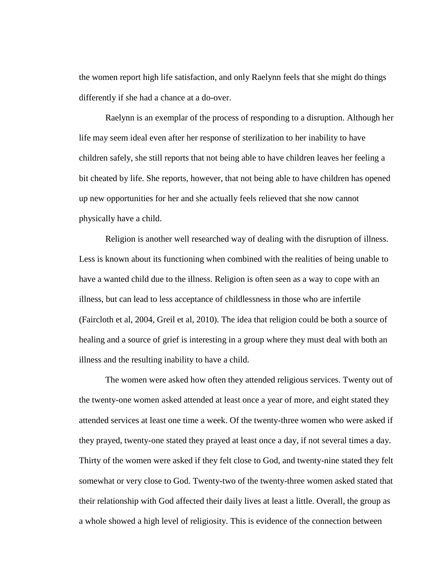the women report high life satisfaction, and only Raelynn feels that she might do things differently if she had a chance at a do-over.

Raelynn is an exemplar of the process of responding to a disruption. Although her life may seem ideal even after her response of sterilization to her inability to have children safely, she still reports that not being able to have children leaves her feeling a bit cheated by life. She reports, however, that not being able to have children has opened up new opportunities for her and she actually feels relieved that she now cannot physically have a child.

Religion is another well researched way of dealing with the disruption of illness. Less is known about its functioning when combined with the realities of being unable to have a wanted child due to the illness. Religion is often seen as a way to cope with an illness, but can lead to less acceptance of childlessness in those who are infertile (Faircloth et al, 2004, Greil et al, 2010). The idea that religion could be both a source of healing and a source of grief is interesting in a group where they must deal with both an illness and the resulting inability to have a child.

The women were asked how often they attended religious services. Twenty out of the twenty-one women asked attended at least once a year of more, and eight stated they attended services at least one time a week. Of the twenty-three women who were asked if they prayed, twenty-one stated they prayed at least once a day, if not several times a day. Thirty of the women were asked if they felt close to God, and twenty-nine stated they felt somewhat or very close to God. Twenty-two of the twenty-three women asked stated that their relationship with God affected their daily lives at least a little. Overall, the group as a whole showed a high level of religiosity. This is evidence of the connection between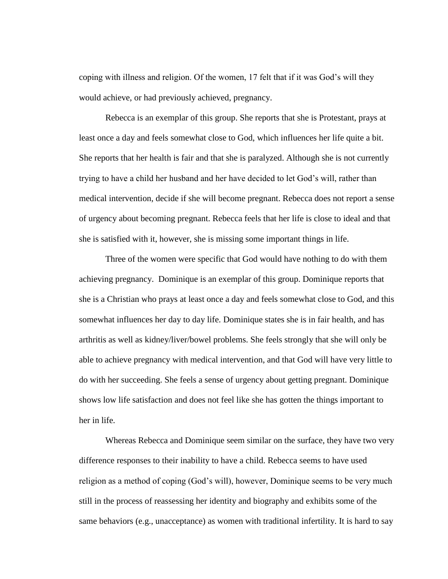coping with illness and religion. Of the women, 17 felt that if it was God's will they would achieve, or had previously achieved, pregnancy.

Rebecca is an exemplar of this group. She reports that she is Protestant, prays at least once a day and feels somewhat close to God, which influences her life quite a bit. She reports that her health is fair and that she is paralyzed. Although she is not currently trying to have a child her husband and her have decided to let God's will, rather than medical intervention, decide if she will become pregnant. Rebecca does not report a sense of urgency about becoming pregnant. Rebecca feels that her life is close to ideal and that she is satisfied with it, however, she is missing some important things in life.

Three of the women were specific that God would have nothing to do with them achieving pregnancy. Dominique is an exemplar of this group. Dominique reports that she is a Christian who prays at least once a day and feels somewhat close to God, and this somewhat influences her day to day life. Dominique states she is in fair health, and has arthritis as well as kidney/liver/bowel problems. She feels strongly that she will only be able to achieve pregnancy with medical intervention, and that God will have very little to do with her succeeding. She feels a sense of urgency about getting pregnant. Dominique shows low life satisfaction and does not feel like she has gotten the things important to her in life.

Whereas Rebecca and Dominique seem similar on the surface, they have two very difference responses to their inability to have a child. Rebecca seems to have used religion as a method of coping (God's will), however, Dominique seems to be very much still in the process of reassessing her identity and biography and exhibits some of the same behaviors (e.g., unacceptance) as women with traditional infertility. It is hard to say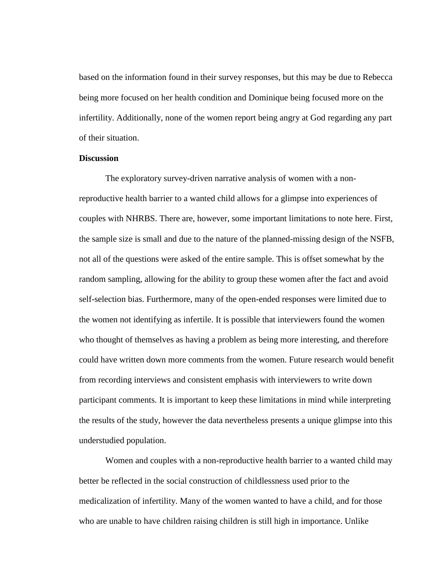based on the information found in their survey responses, but this may be due to Rebecca being more focused on her health condition and Dominique being focused more on the infertility. Additionally, none of the women report being angry at God regarding any part of their situation.

## **Discussion**

The exploratory survey-driven narrative analysis of women with a nonreproductive health barrier to a wanted child allows for a glimpse into experiences of couples with NHRBS. There are, however, some important limitations to note here. First, the sample size is small and due to the nature of the planned-missing design of the NSFB, not all of the questions were asked of the entire sample. This is offset somewhat by the random sampling, allowing for the ability to group these women after the fact and avoid self-selection bias. Furthermore, many of the open-ended responses were limited due to the women not identifying as infertile. It is possible that interviewers found the women who thought of themselves as having a problem as being more interesting, and therefore could have written down more comments from the women. Future research would benefit from recording interviews and consistent emphasis with interviewers to write down participant comments. It is important to keep these limitations in mind while interpreting the results of the study, however the data nevertheless presents a unique glimpse into this understudied population.

Women and couples with a non-reproductive health barrier to a wanted child may better be reflected in the social construction of childlessness used prior to the medicalization of infertility. Many of the women wanted to have a child, and for those who are unable to have children raising children is still high in importance. Unlike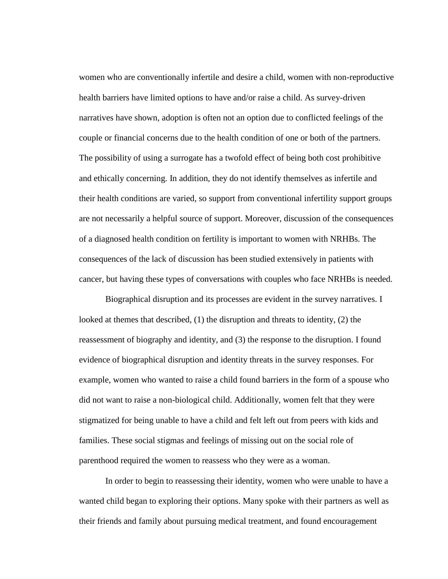women who are conventionally infertile and desire a child, women with non-reproductive health barriers have limited options to have and/or raise a child. As survey-driven narratives have shown, adoption is often not an option due to conflicted feelings of the couple or financial concerns due to the health condition of one or both of the partners. The possibility of using a surrogate has a twofold effect of being both cost prohibitive and ethically concerning. In addition, they do not identify themselves as infertile and their health conditions are varied, so support from conventional infertility support groups are not necessarily a helpful source of support. Moreover, discussion of the consequences of a diagnosed health condition on fertility is important to women with NRHBs. The consequences of the lack of discussion has been studied extensively in patients with cancer, but having these types of conversations with couples who face NRHBs is needed.

Biographical disruption and its processes are evident in the survey narratives. I looked at themes that described, (1) the disruption and threats to identity, (2) the reassessment of biography and identity, and (3) the response to the disruption. I found evidence of biographical disruption and identity threats in the survey responses. For example, women who wanted to raise a child found barriers in the form of a spouse who did not want to raise a non-biological child. Additionally, women felt that they were stigmatized for being unable to have a child and felt left out from peers with kids and families. These social stigmas and feelings of missing out on the social role of parenthood required the women to reassess who they were as a woman.

In order to begin to reassessing their identity, women who were unable to have a wanted child began to exploring their options. Many spoke with their partners as well as their friends and family about pursuing medical treatment, and found encouragement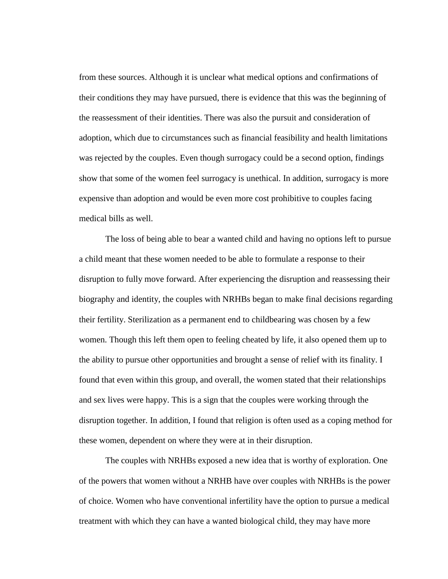from these sources. Although it is unclear what medical options and confirmations of their conditions they may have pursued, there is evidence that this was the beginning of the reassessment of their identities. There was also the pursuit and consideration of adoption, which due to circumstances such as financial feasibility and health limitations was rejected by the couples. Even though surrogacy could be a second option, findings show that some of the women feel surrogacy is unethical. In addition, surrogacy is more expensive than adoption and would be even more cost prohibitive to couples facing medical bills as well.

The loss of being able to bear a wanted child and having no options left to pursue a child meant that these women needed to be able to formulate a response to their disruption to fully move forward. After experiencing the disruption and reassessing their biography and identity, the couples with NRHBs began to make final decisions regarding their fertility. Sterilization as a permanent end to childbearing was chosen by a few women. Though this left them open to feeling cheated by life, it also opened them up to the ability to pursue other opportunities and brought a sense of relief with its finality. I found that even within this group, and overall, the women stated that their relationships and sex lives were happy. This is a sign that the couples were working through the disruption together. In addition, I found that religion is often used as a coping method for these women, dependent on where they were at in their disruption.

The couples with NRHBs exposed a new idea that is worthy of exploration. One of the powers that women without a NRHB have over couples with NRHBs is the power of choice. Women who have conventional infertility have the option to pursue a medical treatment with which they can have a wanted biological child, they may have more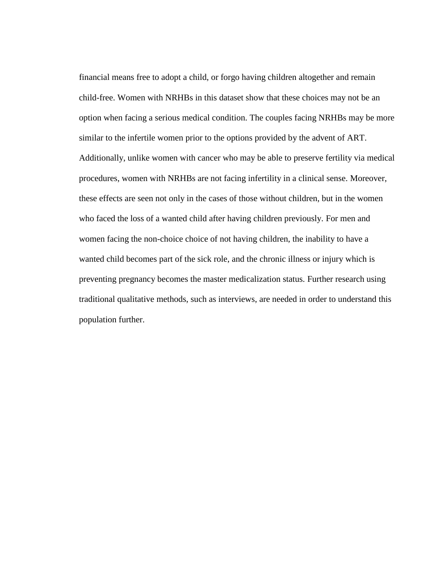financial means free to adopt a child, or forgo having children altogether and remain child-free. Women with NRHBs in this dataset show that these choices may not be an option when facing a serious medical condition. The couples facing NRHBs may be more similar to the infertile women prior to the options provided by the advent of ART. Additionally, unlike women with cancer who may be able to preserve fertility via medical procedures, women with NRHBs are not facing infertility in a clinical sense. Moreover, these effects are seen not only in the cases of those without children, but in the women who faced the loss of a wanted child after having children previously. For men and women facing the non-choice choice of not having children, the inability to have a wanted child becomes part of the sick role, and the chronic illness or injury which is preventing pregnancy becomes the master medicalization status. Further research using traditional qualitative methods, such as interviews, are needed in order to understand this population further.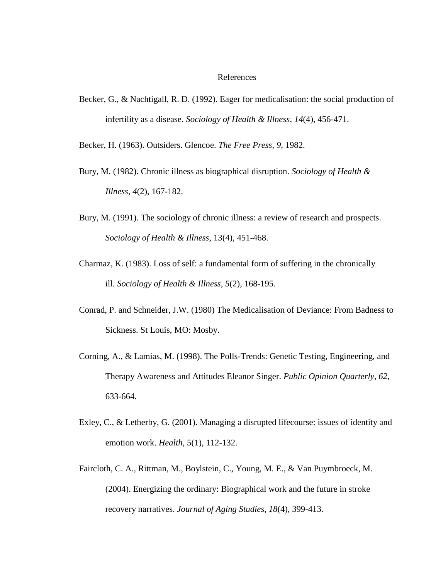#### References

Becker, G., & Nachtigall, R. D. (1992). Eager for medicalisation: the social production of infertility as a disease. *Sociology of Health & Illness*, *14*(4), 456-471.

Becker, H. (1963). Outsiders. Glencoe. *The Free Press*, *9*, 1982.

- Bury, M. (1982). Chronic illness as biographical disruption. *Sociology of Health & Illness*, *4*(2), 167-182.
- Bury, M. (1991). The sociology of chronic illness: a review of research and prospects. *Sociology of Health & Illness*, 13(4), 451-468.
- Charmaz, K. (1983). Loss of self: a fundamental form of suffering in the chronically ill. *Sociology of Health & Illness*, *5*(2), 168-195.
- Conrad, P. and Schneider, J.W. (1980) The Medicalisation of Deviance: From Badness to Sickness. St Louis, MO: Mosby.
- Corning, A., & Lamias, M. (1998). The Polls-Trends: Genetic Testing, Engineering, and Therapy Awareness and Attitudes Eleanor Singer. *Public Opinion Quarterly*, *62*, 633-664.
- Exley, C., & Letherby, G. (2001). Managing a disrupted lifecourse: issues of identity and emotion work. *Health*, 5(1), 112-132.
- Faircloth, C. A., Rittman, M., Boylstein, C., Young, M. E., & Van Puymbroeck, M. (2004). Energizing the ordinary: Biographical work and the future in stroke recovery narratives. *Journal of Aging Studies*, *18*(4), 399-413.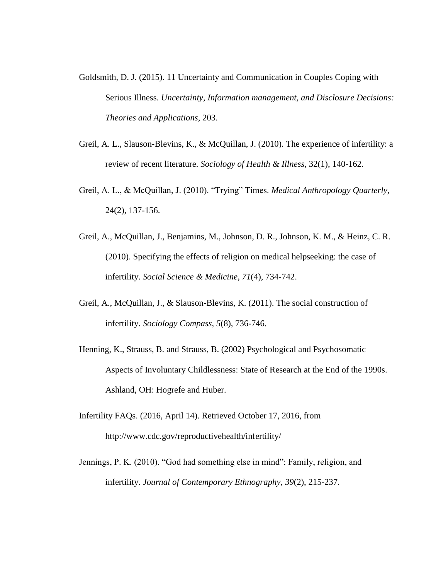- Goldsmith, D. J. (2015). 11 Uncertainty and Communication in Couples Coping with Serious Illness. *Uncertainty, Information management, and Disclosure Decisions: Theories and Applications*, 203.
- Greil, A. L., Slauson-Blevins, K., & McQuillan, J. (2010). The experience of infertility: a review of recent literature. *Sociology of Health & Illness*, 32(1), 140-162.
- Greil, A. L., & McQuillan, J. (2010). "Trying" Times. *Medical Anthropology Quarterly*, 24(2), 137-156.
- Greil, A., McQuillan, J., Benjamins, M., Johnson, D. R., Johnson, K. M., & Heinz, C. R. (2010). Specifying the effects of religion on medical helpseeking: the case of infertility. *Social Science & Medicine*, *71*(4), 734-742.
- Greil, A., McQuillan, J., & Slauson‐Blevins, K. (2011). The social construction of infertility. *Sociology Compass*, *5*(8), 736-746.
- Henning, K., Strauss, B. and Strauss, B. (2002) Psychological and Psychosomatic Aspects of Involuntary Childlessness: State of Research at the End of the 1990s. Ashland, OH: Hogrefe and Huber.
- Infertility FAQs. (2016, April 14). Retrieved October 17, 2016, from http://www.cdc.gov/reproductivehealth/infertility/
- Jennings, P. K. (2010). "God had something else in mind": Family, religion, and infertility. *Journal of Contemporary Ethnography*, *39*(2), 215-237.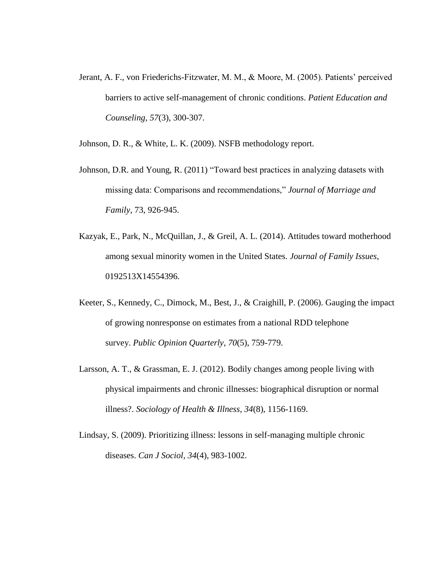Jerant, A. F., von Friederichs-Fitzwater, M. M., & Moore, M. (2005). Patients' perceived barriers to active self-management of chronic conditions. *Patient Education and Counseling*, *57*(3), 300-307.

Johnson, D. R., & White, L. K. (2009). NSFB methodology report.

- Johnson, D.R. and Young, R. (2011) "Toward best practices in analyzing datasets with missing data: Comparisons and recommendations," *Journal of Marriage and Family,* 73, 926-945.
- Kazyak, E., Park, N., McQuillan, J., & Greil, A. L. (2014). Attitudes toward motherhood among sexual minority women in the United States. *Journal of Family Issues*, 0192513X14554396.
- Keeter, S., Kennedy, C., Dimock, M., Best, J., & Craighill, P. (2006). Gauging the impact of growing nonresponse on estimates from a national RDD telephone survey. *Public Opinion Quarterly*, *70*(5), 759-779.
- Larsson, A. T., & Grassman, E. J. (2012). Bodily changes among people living with physical impairments and chronic illnesses: biographical disruption or normal illness?. *Sociology of Health & Illness*, *34*(8), 1156-1169.
- Lindsay, S. (2009). Prioritizing illness: lessons in self-managing multiple chronic diseases. *Can J Sociol*, *34*(4), 983-1002.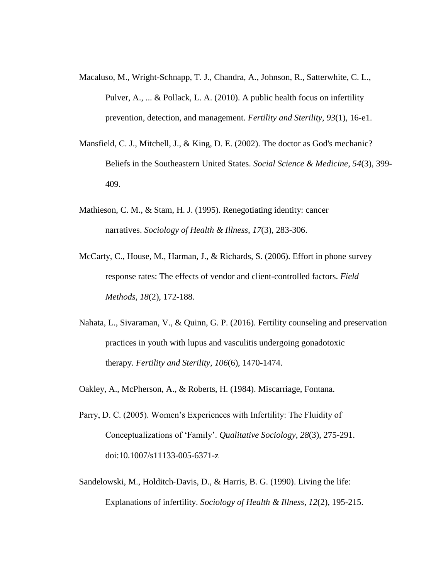- Macaluso, M., Wright-Schnapp, T. J., Chandra, A., Johnson, R., Satterwhite, C. L., Pulver, A., ... & Pollack, L. A. (2010). A public health focus on infertility prevention, detection, and management. *Fertility and Sterility*, *93*(1), 16-e1.
- Mansfield, C. J., Mitchell, J., & King, D. E. (2002). The doctor as God's mechanic? Beliefs in the Southeastern United States. *Social Science & Medicine*, *54*(3), 399- 409.
- Mathieson, C. M., & Stam, H. J. (1995). Renegotiating identity: cancer narratives. *Sociology of Health & Illness*, *17*(3), 283-306.
- McCarty, C., House, M., Harman, J., & Richards, S. (2006). Effort in phone survey response rates: The effects of vendor and client-controlled factors. *Field Methods*, *18*(2), 172-188.
- Nahata, L., Sivaraman, V., & Quinn, G. P. (2016). Fertility counseling and preservation practices in youth with lupus and vasculitis undergoing gonadotoxic therapy. *Fertility and Sterility*, *106*(6), 1470-1474.

Oakley, A., McPherson, A., & Roberts, H. (1984). Miscarriage, Fontana.

- Parry, D. C. (2005). Women's Experiences with Infertility: The Fluidity of Conceptualizations of 'Family'. *Qualitative Sociology*, *28*(3), 275-291. doi:10.1007/s11133-005-6371-z
- Sandelowski, M., Holditch-Davis, D., & Harris, B. G. (1990). Living the life: Explanations of infertility. *Sociology of Health & Illness*, *12*(2), 195-215.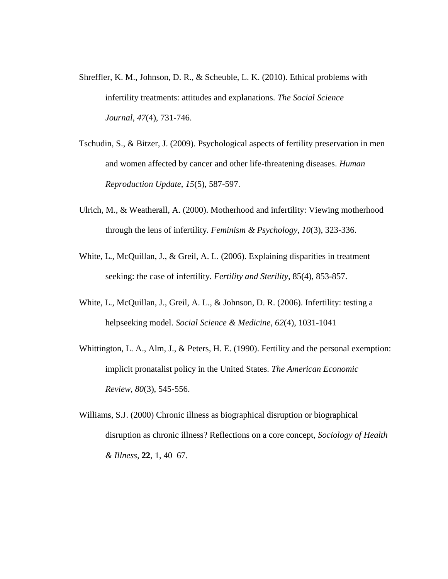- Shreffler, K. M., Johnson, D. R., & Scheuble, L. K. (2010). Ethical problems with infertility treatments: attitudes and explanations. *The Social Science Journal*, *47*(4), 731-746.
- Tschudin, S., & Bitzer, J. (2009). Psychological aspects of fertility preservation in men and women affected by cancer and other life-threatening diseases. *Human Reproduction Update*, *15*(5), 587-597.
- Ulrich, M., & Weatherall, A. (2000). Motherhood and infertility: Viewing motherhood through the lens of infertility. *Feminism & Psychology*, *10*(3), 323-336.
- White, L., McQuillan, J., & Greil, A. L. (2006). Explaining disparities in treatment seeking: the case of infertility. *Fertility and Sterility*, 85(4), 853-857.
- White, L., McQuillan, J., Greil, A. L., & Johnson, D. R. (2006). Infertility: testing a helpseeking model. *Social Science & Medicine*, *62*(4), 1031-1041
- Whittington, L. A., Alm, J., & Peters, H. E. (1990). Fertility and the personal exemption: implicit pronatalist policy in the United States. *The American Economic Review*, *80*(3), 545-556.
- Williams, S.J. (2000) Chronic illness as biographical disruption or biographical disruption as chronic illness? Reflections on a core concept, *Sociology of Health & Illness*, **22**, 1, 40–67.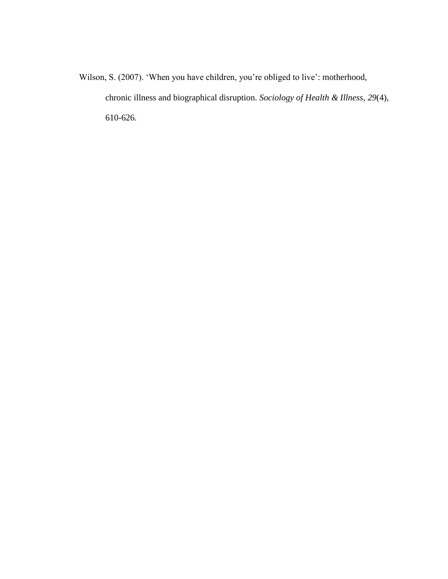Wilson, S. (2007). 'When you have children, you're obliged to live': motherhood, chronic illness and biographical disruption. *Sociology of Health & Illness*, *29*(4), 610-626.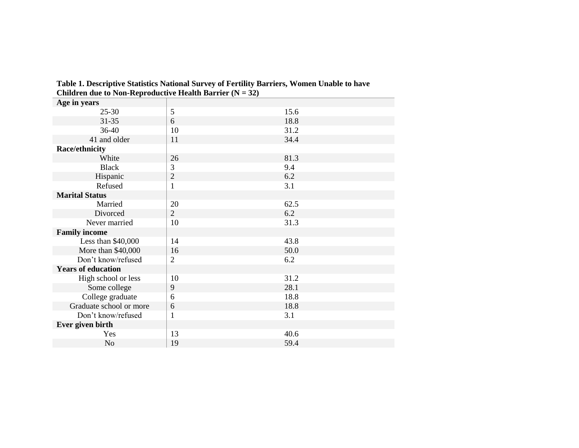| Age in years              |                |      |
|---------------------------|----------------|------|
| $25 - 30$                 | 5              | 15.6 |
| $31 - 35$                 | 6              | 18.8 |
| 36-40                     | 10             | 31.2 |
| 41 and older              | 11             | 34.4 |
| Race/ethnicity            |                |      |
| White                     | 26             | 81.3 |
| <b>Black</b>              | 3              | 9.4  |
| Hispanic                  | $\mathbf{2}$   | 6.2  |
| Refused                   | $\mathbf{1}$   | 3.1  |
| <b>Marital Status</b>     |                |      |
| Married                   | 20             | 62.5 |
| Divorced                  | $\overline{2}$ | 6.2  |
| Never married             | 10             | 31.3 |
| <b>Family income</b>      |                |      |
| Less than \$40,000        | 14             | 43.8 |
| More than \$40,000        | 16             | 50.0 |
| Don't know/refused        | $\mathfrak{2}$ | 6.2  |
| <b>Years of education</b> |                |      |
| High school or less       | 10             | 31.2 |
| Some college              | 9              | 28.1 |
| College graduate          | 6              | 18.8 |
| Graduate school or more   | 6              | 18.8 |
| Don't know/refused        | $\mathbf{1}$   | 3.1  |
| Ever given birth          |                |      |
| Yes                       | 13             | 40.6 |
| No                        | 19             | 59.4 |

**Table 1. Descriptive Statistics National Survey of Fertility Barriers, Women Unable to have Children due to Non-Reproductive Health Barrier (** $N = 32$ **)**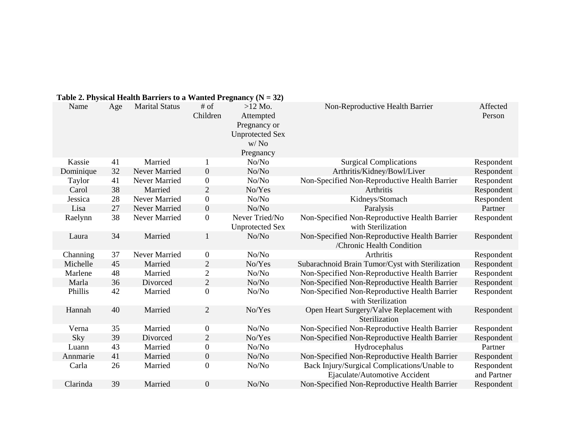| Table 2. Physical Health Barriers to a Wanted Pregnancy ( $N = 32$ ) |     |                       |                    |                                                                                                   |                                                                               |                           |  |  |
|----------------------------------------------------------------------|-----|-----------------------|--------------------|---------------------------------------------------------------------------------------------------|-------------------------------------------------------------------------------|---------------------------|--|--|
| Name                                                                 | Age | <b>Marital Status</b> | $#$ of<br>Children | $>12$ Mo.<br>Attempted<br>Pregnancy or<br><b>Unprotected Sex</b><br>W/N <sub>0</sub><br>Pregnancy | Non-Reproductive Health Barrier                                               | Affected<br>Person        |  |  |
| Kassie                                                               | 41  | Married               | 1                  | No/No                                                                                             | <b>Surgical Complications</b>                                                 | Respondent                |  |  |
| Dominique                                                            | 32  | Never Married         | $\overline{0}$     | No/No                                                                                             | Arthritis/Kidney/Bowl/Liver                                                   | Respondent                |  |  |
| Taylor                                                               | 41  | Never Married         | $\boldsymbol{0}$   | No/No                                                                                             | Non-Specified Non-Reproductive Health Barrier                                 | Respondent                |  |  |
| Carol                                                                | 38  | Married               | $\overline{2}$     | No/Yes                                                                                            | Arthritis                                                                     | Respondent                |  |  |
| Jessica                                                              | 28  | Never Married         | $\boldsymbol{0}$   | No/No                                                                                             | Kidneys/Stomach                                                               | Respondent                |  |  |
| Lisa                                                                 | 27  | Never Married         | $\boldsymbol{0}$   | No/No                                                                                             | Paralysis                                                                     | Partner                   |  |  |
| Raelynn                                                              | 38  | Never Married         | $\boldsymbol{0}$   | Never Tried/No<br><b>Unprotected Sex</b>                                                          | Non-Specified Non-Reproductive Health Barrier<br>with Sterilization           | Respondent                |  |  |
| Laura                                                                | 34  | Married               | $\mathbf{1}$       | No/No                                                                                             | Non-Specified Non-Reproductive Health Barrier<br>/Chronic Health Condition    | Respondent                |  |  |
| Channing                                                             | 37  | Never Married         | $\boldsymbol{0}$   | No/No                                                                                             | Arthritis                                                                     | Respondent                |  |  |
| Michelle                                                             | 45  | Married               | $\overline{2}$     | No/Yes                                                                                            | Subarachnoid Brain Tumor/Cyst with Sterilization                              | Respondent                |  |  |
| Marlene                                                              | 48  | Married               | $\mathbf{2}$       | No/No                                                                                             | Non-Specified Non-Reproductive Health Barrier                                 | Respondent                |  |  |
| Marla                                                                | 36  | Divorced              | $\mathbf{2}$       | No/No                                                                                             | Non-Specified Non-Reproductive Health Barrier                                 | Respondent                |  |  |
| Phillis                                                              | 42  | Married               | $\overline{0}$     | No/No                                                                                             | Non-Specified Non-Reproductive Health Barrier<br>with Sterilization           | Respondent                |  |  |
| Hannah                                                               | 40  | Married               | $\overline{2}$     | No/Yes                                                                                            | Open Heart Surgery/Valve Replacement with<br>Sterilization                    | Respondent                |  |  |
| Verna                                                                | 35  | Married               | $\boldsymbol{0}$   | No/No                                                                                             | Non-Specified Non-Reproductive Health Barrier                                 | Respondent                |  |  |
| Sky                                                                  | 39  | Divorced              | $\overline{2}$     | No/Yes                                                                                            | Non-Specified Non-Reproductive Health Barrier                                 | Respondent                |  |  |
| Luann                                                                | 43  | Married               | $\boldsymbol{0}$   | No/No                                                                                             | Hydrocephalus                                                                 | Partner                   |  |  |
| Annmarie                                                             | 41  | Married               | $\overline{0}$     | No/No                                                                                             | Non-Specified Non-Reproductive Health Barrier                                 | Respondent                |  |  |
| Carla                                                                | 26  | Married               | $\boldsymbol{0}$   | No/No                                                                                             | Back Injury/Surgical Complications/Unable to<br>Ejaculate/Automotive Accident | Respondent<br>and Partner |  |  |
| Clarinda                                                             | 39  | Married               | $\boldsymbol{0}$   | No/No                                                                                             | Non-Specified Non-Reproductive Health Barrier                                 | Respondent                |  |  |